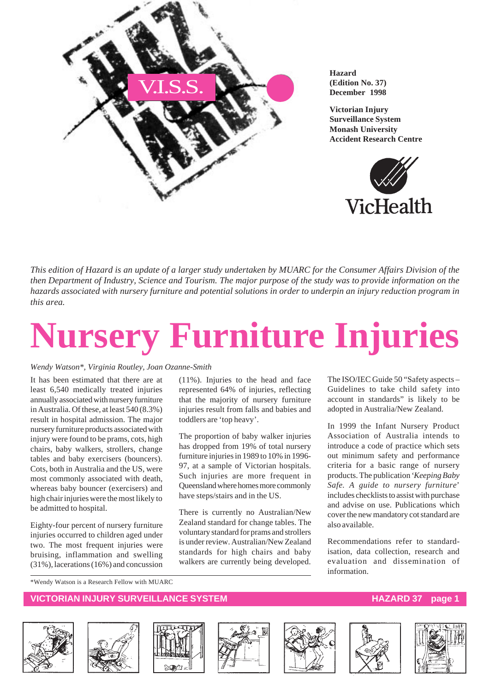

**Hazard (Edition No. 37) December 1998**

**Victorian Injury Surveillance System Monash University Accident Research Centre**



*This edition of Hazard is an update of a larger study undertaken by MUARC for the Consumer Affairs Division of the then Department of Industry, Science and Tourism. The major purpose of the study was to provide information on the hazards associated with nursery furniture and potential solutions in order to underpin an injury reduction program in this area.*

# **Nursery Furniture Injuries**

#### *Wendy Watson\*, Virginia Routley, Joan Ozanne-Smith*

It has been estimated that there are at least 6,540 medically treated injuries annually associated with nursery furniture in Australia. Of these, at least 540 (8.3%) result in hospital admission. The major nursery furniture products associated with injury were found to be prams, cots, high chairs, baby walkers, strollers, change tables and baby exercisers (bouncers). Cots, both in Australia and the US, were most commonly associated with death, whereas baby bouncer (exercisers) and high chair injuries were the most likely to be admitted to hospital.

Eighty-four percent of nursery furniture injuries occurred to children aged under two. The most frequent injuries were bruising, inflammation and swelling (31%), lacerations (16%) and concussion (11%). Injuries to the head and face represented 64% of injuries, reflecting that the majority of nursery furniture injuries result from falls and babies and toddlers are 'top heavy'.

The proportion of baby walker injuries has dropped from 19% of total nursery furniture injuries in 1989 to 10% in 1996- 97, at a sample of Victorian hospitals. Such injuries are more frequent in Queensland where homes more commonly have steps/stairs and in the US.

There is currently no Australian/New Zealand standard for change tables. The voluntary standard for prams and strollers is under review. Australian/New Zealand standards for high chairs and baby walkers are currently being developed. The ISO/IEC Guide 50 "Safety aspects – Guidelines to take child safety into account in standards" is likely to be adopted in Australia/New Zealand.

In 1999 the Infant Nursery Product Association of Australia intends to introduce a code of practice which sets out minimum safety and performance criteria for a basic range of nursery products. The publication '*Keeping Baby Safe. A guide to nursery furniture*' includes checklists to assist with purchase and advise on use. Publications which cover the new mandatory cot standard are also available.

Recommendations refer to standardisation, data collection, research and evaluation and dissemination of information.

\*Wendy Watson is a Research Fellow with MUARC

#### **VICTORIAN INJURY SURVEILLANCE SYSTEM AND REALLY CONTROLLY CONTROLLY PAID AND HAZARD 37 page**













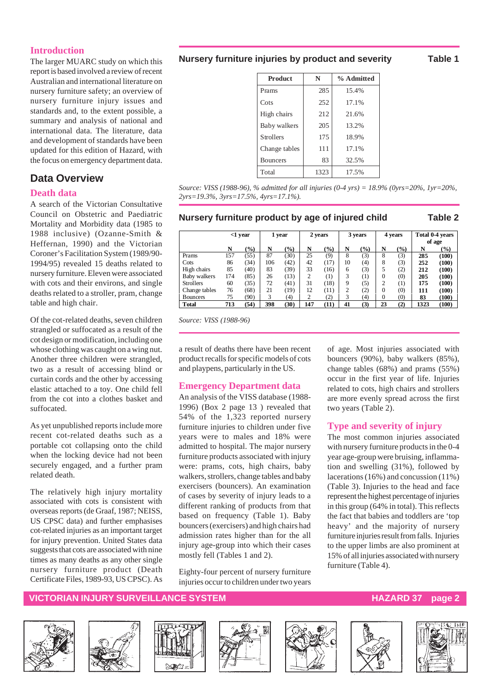#### **Introduction**

The larger MUARC study on which this report is based involved a review of recent Australian and international literature on nursery furniture safety; an overview of nursery furniture injury issues and standards and, to the extent possible, a summary and analysis of national and international data. The literature, data and development of standards have been updated for this edition of Hazard, with the focus on emergency department data.

### **Data Overview**

#### **Death data**

A search of the Victorian Consultative Council on Obstetric and Paediatric Mortality and Morbidity data (1985 to 1988 inclusive) (Ozanne-Smith & Heffernan, 1990) and the Victorian Coroner's Facilitation System (1989/90- 1994/95) revealed 15 deaths related to nursery furniture. Eleven were associated with cots and their environs, and single deaths related to a stroller, pram, change table and high chair.

Of the cot-related deaths, seven children strangled or suffocated as a result of the cot design or modification, including one whose clothing was caught on a wing nut. Another three children were strangled, two as a result of accessing blind or curtain cords and the other by accessing elastic attached to a toy. One child fell from the cot into a clothes basket and suffocated.

As yet unpublished reports include more recent cot-related deaths such as a portable cot collapsing onto the child when the locking device had not been securely engaged, and a further pram related death.

The relatively high injury mortality associated with cots is consistent with overseas reports (de Graaf, 1987; NEISS, US CPSC data) and further emphasises cot-related injuries as an important target for injury prevention. United States data suggests that cots are associated with nine times as many deaths as any other single nursery furniture product (Death Certificate Files, 1989-93, US CPSC). As

#### **Nursery furniture injuries by product and severity Table 1**

**Product** N % Admitted Prams 285 15.4%  $Cots$   $252$   $17.1\%$ High chairs 212 21.6% Baby walkers 205 13.2% Strollers 175 18.9% Change tables  $111$  17.1% Bouncers 83 32.5% Total 1323 17.5%

*Source: VISS (1988-96), % admitted for all injuries (0-4 yrs) = 18.9% (0yrs=20%, 1yr=20%, 2yrs=19.3%, 3yrs=17.5%, 4yrs=17.1%).*

#### **Nursery furniture product by age of injured child Table 2**

|                  | $<$ 1 year |       | 2 years<br>1 year |      |     | 3 years          |    | 4 years             |    |               | Total 0-4 years |       |
|------------------|------------|-------|-------------------|------|-----|------------------|----|---------------------|----|---------------|-----------------|-------|
|                  |            |       |                   |      |     |                  |    |                     |    |               | of age          |       |
|                  | N          | (9/0) | N                 | (%)  | N   | $\frac{1}{2}$    | N  | (%)                 | N  | $\frac{9}{0}$ | N               | (%)   |
| Prams            | 157        | (55)  | 87                | (30) | 25  | (9)              | 8  | (3)                 | 8  | (3)           | 285             | (100) |
| Cots             | 86         | (34)  | 106               | (42) | 42  | (17)             | 10 | (4)                 | 8  | (3)           | 252             | (100) |
| High chairs      | 85         | (40)  | 83                | (39) | 33  | (16)             | 6  | (3)                 |    | (2)           | 212             | (100) |
| Baby walkers     | 174        | (85)  | 26                | (13) | 2   | $\left(1\right)$ | 3  | $\scriptstyle{(1)}$ |    | (0)           | 205             | (100) |
| <b>Strollers</b> | 60         | (35)  | 72                | (41) | 31  | (18)             | 9  | (5)                 |    | $^{(1)}$      | 175             | (100) |
| Change tables    | 76         | (68)  | 21                | (19) | 12  | (11)             | ↑  | (2)                 |    | (0)           | 111             | (100) |
| <b>Bouncers</b>  | 75         | (90)  | 3                 | (4)  |     | (2)              | 3  | (4)                 |    | (0)           | 83              | (100) |
| <b>Total</b>     | 713        | (54)  | 398               | (30) | 147 | (11)             | 41 | (3)                 | 23 | (2)           | 1323            | (100) |

*Source: VISS (1988-96)*

a result of deaths there have been recent product recalls for specific models of cots and playpens, particularly in the US.

#### **Emergency Department data**

An analysis of the VISS database (1988- 1996) (Box 2 page 13 ) revealed that 54% of the 1,323 reported nursery furniture injuries to children under five years were to males and 18% were admitted to hospital. The major nursery furniture products associated with injury were: prams, cots, high chairs, baby walkers, strollers, change tables and baby exercisers (bouncers). An examination of cases by severity of injury leads to a different ranking of products from that based on frequency (Table 1). Baby bouncers (exercisers) and high chairs had admission rates higher than for the all injury age-group into which their cases mostly fell (Tables 1 and 2).

Eighty-four percent of nursery furniture injuries occur to children under two years

of age. Most injuries associated with bouncers (90%), baby walkers (85%), change tables (68%) and prams (55%) occur in the first year of life. Injuries related to cots, high chairs and strollers are more evenly spread across the first two years (Table 2).

#### **Type and severity of injury**

The most common injuries associated with nursery furniture products in the 0-4 year age-group were bruising, inflammation and swelling (31%), followed by lacerations (16%) and concussion (11%) (Table 3). Injuries to the head and face represent the highest percentage of injuries in this group (64% in total). This reflects the fact that babies and toddlers are 'top heavy' and the majority of nursery furniture injuries result from falls. Injuries to the upper limbs are also prominent at 15% of all injuries associated with nursery furniture (Table 4).

#### **VICTORIAN INJURY SURVEILLANCE SYSTEM AND REALLY CONTROLLY AND REALLY ASSESSED AT A PART OF A PART OF A PART OF**













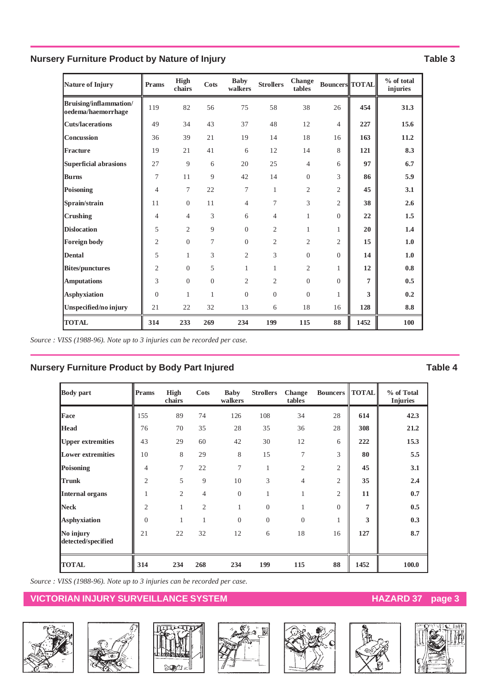### **Nursery Furniture Product by Nature of Injury Table 3** Table 3

| Nature of Injury                             | Prams          | High<br>chairs | <b>Cots</b>  | <b>Baby</b><br>walkers | <b>Strollers</b> | Change<br>tables | <b>Bouncers TOTAL</b> |      | % of total<br>injuries |
|----------------------------------------------|----------------|----------------|--------------|------------------------|------------------|------------------|-----------------------|------|------------------------|
| Bruising/inflammation/<br>oedema/haemorrhage | 119            | 82             | 56           | 75                     | 58               | 38               | 26                    | 454  | 31.3                   |
| <b>Cuts/lacerations</b>                      | 49             | 34             | 43           | 37                     | 48               | 12               | $\overline{4}$        | 227  | 15.6                   |
| <b>Concussion</b>                            | 36             | 39             | 21           | 19                     | 14               | 18               | 16                    | 163  | 11.2                   |
| Fracture                                     | 19             | 21             | 41           | 6                      | 12               | 14               | 8                     | 121  | 8.3                    |
| Superficial abrasions                        | 27             | 9              | 6            | 20                     | 25               | $\overline{4}$   | 6                     | 97   | 6.7                    |
| <b>Burns</b>                                 | 7              | 11             | 9            | 42                     | 14               | $\theta$         | 3                     | 86   | 5.9                    |
| <b>Poisoning</b>                             | $\overline{4}$ | 7              | 22           | 7                      | $\mathbf{1}$     | $\overline{2}$   | $\overline{2}$        | 45   | 3.1                    |
| Sprain/strain                                | 11             | $\overline{0}$ | 11           | $\overline{4}$         | 7                | 3                | $\overline{2}$        | 38   | 2.6                    |
| <b>Crushing</b>                              | $\overline{4}$ | 4              | 3            | 6                      | $\overline{4}$   | $\mathbf{1}$     | $\Omega$              | 22   | 1.5                    |
| <b>Dislocation</b>                           | 5              | $\overline{2}$ | 9            | $\Omega$               | $\overline{2}$   | $\mathbf{1}$     | $\mathbf{1}$          | 20   | 1.4                    |
| <b>Foreign body</b>                          | $\overline{2}$ | $\overline{0}$ | 7            | $\Omega$               | $\overline{2}$   | $\overline{2}$   | $\overline{2}$        | 15   | 1.0                    |
| <b>Dental</b>                                | 5              | $\mathbf{1}$   | 3            | $\overline{c}$         | 3                | $\Omega$         | $\overline{0}$        | 14   | 1.0                    |
| <b>Bites/punctures</b>                       | $\overline{2}$ | $\mathbf{0}$   | 5            | $\mathbf{1}$           | 1                | 2                | $\mathbf{1}$          | 12   | 0.8                    |
| <b>Amputations</b>                           | 3              | $\mathbf{0}$   | $\Omega$     | $\overline{2}$         | $\overline{2}$   | $\Omega$         | $\Omega$              | 7    | 0.5                    |
| <b>Asphyxiation</b>                          | $\theta$       | $\mathbf{1}$   | $\mathbf{1}$ | $\overline{0}$         | $\overline{0}$   | $\Omega$         | $\mathbf{1}$          | 3    | 0.2                    |
| Unspecified/no injury                        | 21             | 22             | 32           | 13                     | 6                | 18               | 16                    | 128  | 8.8                    |
| <b>TOTAL</b>                                 | 314            | 233            | 269          | 234                    | 199              | 115              | 88                    | 1452 | 100                    |

*Source : VISS (1988-96). Note up to 3 injuries can be recorded per case.*

#### **Nursery Furniture Product by Body Part Injured Community Community Community Community Community Community Community Community Community Community Community Community Community Community Community Community Community Comm**

| <b>Body</b> part                | Prams          | High<br>chairs | Cots           | <b>Baby</b><br>walkers | <b>Strollers</b> | Change<br>tables | <b>Bouncers</b> | <b>TOTAL</b>   | % of Total<br><b>Injuries</b> |
|---------------------------------|----------------|----------------|----------------|------------------------|------------------|------------------|-----------------|----------------|-------------------------------|
| Face                            | 155            | 89             | 74             | 126                    | 108              | 34               | 28              | 614            | 42.3                          |
| <b>Head</b>                     | 76             | 70             | 35             | 28                     | 35               | 36               | 28              | 308            | 21.2                          |
| <b>Upper extremities</b>        | 43             | 29             | 60             | 42                     | 30               | 12               | 6               | 222            | 15.3                          |
| <b>Lower extremities</b>        | 10             | 8              | 29             | 8                      | 15               | 7                | 3               | 80             | 5.5                           |
| Poisoning                       | $\overline{4}$ | 7              | 22             | 7                      | 1                | $\overline{2}$   | $\overline{2}$  | 45             | 3.1                           |
| <b>Trunk</b>                    | $\overline{2}$ | 5              | 9              | 10                     | 3                | $\overline{4}$   | $\overline{2}$  | 35             | 2.4                           |
| <b>Internal organs</b>          | 1              | 2              | 4              | $\theta$               | $\mathbf{1}$     | 1                | $\overline{2}$  | 11             | 0.7                           |
| <b>Neck</b>                     | $\overline{2}$ | 1              | $\overline{2}$ | 1                      | $\overline{0}$   | 1                | $\Omega$        | $\overline{7}$ | 0.5                           |
| <b>Asphyxiation</b>             | $\theta$       | 1              | 1              | $\theta$               | $\overline{0}$   | $\theta$         | 1               | 3              | 0.3                           |
| No injury<br>detected/specified | 21             | 22             | 32             | 12                     | 6                | 18               | 16              | 127            | 8.7                           |
| <b>TOTAL</b>                    | 314            | 234            | 268            | 234                    | 199              | 115              | 88              | 1452           | 100.0                         |

*Source : VISS (1988-96). Note up to 3 injuries can be recorded per case.*

### **VICTORIAN INJURY SURVEILLANCE SYSTEM AND READ READ TO HAZARD 37 page 3**











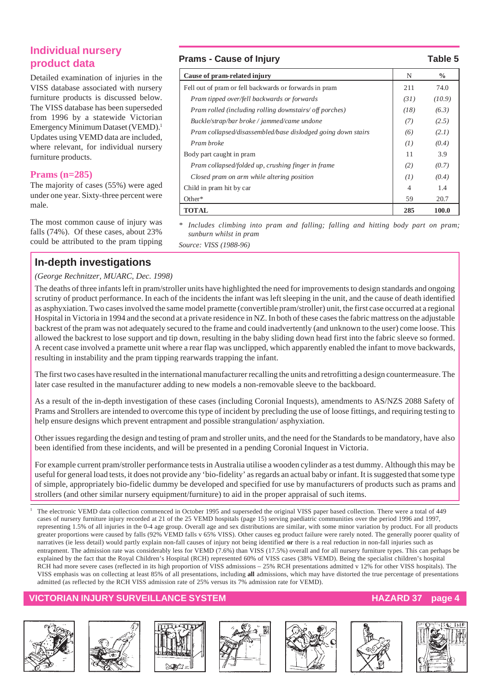### **Individual nursery product data**

Detailed examination of injuries in the VISS database associated with nursery furniture products is discussed below. The VISS database has been superseded from 1996 by a statewide Victorian Emergency Minimum Dataset (VEMD).1 Updates using VEMD data are included, where relevant, for individual nursery furniture products.

### **Prams (n=285)**

The majority of cases (55%) were aged under one year. Sixty-three percent were male.

The most common cause of injury was falls (74%). Of these cases, about 23% could be attributed to the pram tipping

### **In-depth investigations**

#### *(George Rechnitzer, MUARC, Dec. 1998)*

#### **Prams - Cause of Injury Table 5**

| Cause of pram-related injury                                 | N              | $\%$   |
|--------------------------------------------------------------|----------------|--------|
| Fell out of pram or fell backwards or forwards in pram       | 211            | 74.0   |
| Pram tipped over/fell backwards or forwards                  | (31)           | (10.9) |
| Pram rolled (including rolling downstairs/ off porches)      | (18)           | (6.3)  |
| Buckle/strap/bar broke / jammed/came undone                  | (7)            | (2.5)  |
| Pram collapsed/disassembled/base dislodged going down stairs | (6)            | (2.1)  |
| Pram broke                                                   | (I)            | (0.4)  |
| Body part caught in pram                                     | 11             | 3.9    |
| Pram collapsed/folded up, crushing finger in frame           | (2)            | (0.7)  |
| Closed pram on arm while altering position                   | (I)            | (0.4)  |
| Child in pram hit by car                                     | $\overline{4}$ | 1.4    |
| Other*                                                       | 59             | 20.7   |
| TOTAL                                                        | 285            | 100.0  |

*\* Includes climbing into pram and falling; falling and hitting body part on pram; sunburn whilst in pram*

*Source: VISS (1988-96)*

The deaths of three infants left in pram/stroller units have highlighted the need for improvements to design standards and ongoing scrutiny of product performance. In each of the incidents the infant was left sleeping in the unit, and the cause of death identified as asphyxiation. Two cases involved the same model pramette (convertible pram/stroller) unit, the first case occurred at a regional Hospital in Victoria in 1994 and the second at a private residence in NZ. In both of these cases the fabric mattress on the adjustable backrest of the pram was not adequately secured to the frame and could inadvertently (and unknown to the user) come loose. This allowed the backrest to lose support and tip down, resulting in the baby sliding down head first into the fabric sleeve so formed. A recent case involved a pramette unit where a rear flap was unclipped, which apparently enabled the infant to move backwards, resulting in instability and the pram tipping rearwards trapping the infant.

The first two cases have resulted in the international manufacturer recalling the units and retrofitting a design countermeasure. The later case resulted in the manufacturer adding to new models a non-removable sleeve to the backboard.

As a result of the in-depth investigation of these cases (including Coronial Inquests), amendments to AS/NZS 2088 Safety of Prams and Strollers are intended to overcome this type of incident by precluding the use of loose fittings, and requiring testing to help ensure designs which prevent entrapment and possible strangulation/ asphyxiation.

Other issues regarding the design and testing of pram and stroller units, and the need for the Standards to be mandatory, have also been identified from these incidents, and will be presented in a pending Coronial Inquest in Victoria.

For example current pram/stroller performance tests in Australia utilise a wooden cylinder as a test dummy. Although this may be useful for general load tests, it does not provide any 'bio-fidelity' as regards an actual baby or infant. It is suggested that some type of simple, appropriately bio-fidelic dummy be developed and specified for use by manufacturers of products such as prams and strollers (and other similar nursery equipment/furniture) to aid in the proper appraisal of such items.

<sup>1</sup> The electronic VEMD data collection commenced in October 1995 and superseded the original VISS paper based collection. There were a total of 449 cases of nursery furniture injury recorded at 21 of the 25 VEMD hospitals (page 15) serving paediatric communities over the period 1996 and 1997, representing 1.5% of all injuries in the 0-4 age group. Overall age and sex distributions are similar, with some minor variation by product. For all products greater proportions were caused by falls (92% VEMD falls v 65% VISS). Other causes eg product failure were rarely noted. The generally poorer quality of narratives (ie less detail) would partly explain non-fall causes of injury not being identified **or** there is a real reduction in non-fall injuries such as entrapment. The admission rate was considerably less for VEMD (7.6%) than VISS (17.5%) overall and for all nursery furniture types. This can perhaps be explained by the fact that the Royal Children's Hospital (RCH) represented 60% of VISS cases (38% VEMD). Being the specialist children's hospital RCH had more severe cases (reflected in its high proportion of VISS admissions – 25% RCH presentations admitted v 12% for other VISS hospitals). The VISS emphasis was on collecting at least 85% of all presentations, including **all** admissions, which may have distorted the true percentage of presentations admitted (as reflected by the RCH VISS admission rate of 25% versus its 7% admission rate for VEMD).

#### **VICTORIAN INJURY SURVEILLANCE SYSTEM AND RESERVE THE RESERVE HAZARD 37 page**













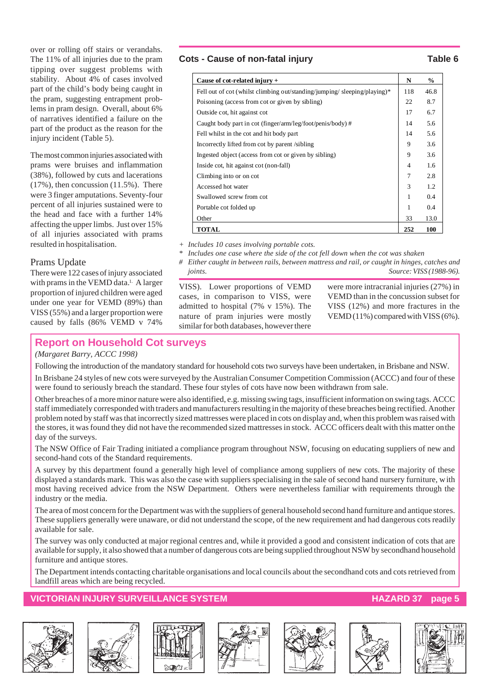over or rolling off stairs or verandahs. The 11% of all injuries due to the pram tipping over suggest problems with stability. About 4% of cases involved part of the child's body being caught in the pram, suggesting entrapment problems in pram design. Overall, about 6% of narratives identified a failure on the part of the product as the reason for the injury incident (Table 5).

The most common injuries associated with prams were bruises and inflammation (38%), followed by cuts and lacerations (17%), then concussion (11.5%). There were 3 finger amputations. Seventy-four percent of all injuries sustained were to the head and face with a further 14% affecting the upper limbs. Just over 15% of all injuries associated with prams resulted in hospitalisation.

#### Prams Update

There were 122 cases of injury associated with prams in the VEMD data.<sup>1</sup> A larger proportion of injured children were aged under one year for VEMD (89%) than VISS (55%) and a larger proportion were caused by falls (86% VEMD v 74%

#### Cots - Cause of non-fatal injury **Table 6**

| Cause of cot-related injury $+$                                          | N   | $\frac{6}{9}$ |
|--------------------------------------------------------------------------|-----|---------------|
| Fell out of cot (whilst climbing out/standing/jumping/sleeping/playing)* | 118 | 46.8          |
| Poisoning (access from cot or given by sibling)                          | 22  | 8.7           |
| Outside cot, hit against cot                                             | 17  | 6.7           |
| Caught body part in cot (finger/arm/leg/foot/penis/body) #               | 14  | 5.6           |
| Fell whilst in the cot and hit body part                                 | 14  | 5.6           |
| Incorrectly lifted from cot by parent /sibling                           | 9   | 3.6           |
| Ingested object (access from cot or given by sibling)                    | 9   | 3.6           |
| Inside cot, hit against cot (non-fall)                                   | 4   | 1.6           |
| Climbing into or on cot                                                  | 7   | 2.8           |
| Accessed hot water                                                       | 3   | 1.2           |
| Swallowed screw from cot                                                 | 1   | 0.4           |
| Portable cot folded up                                                   | 1   | 0.4           |
| Other                                                                    | 33  | 13.0          |
| <b>TOTAL</b>                                                             | 252 | <b>100</b>    |

*+ Includes 10 cases involving portable cots.*

*\* Includes one case where the side of the cot fell down when the cot was shaken*

*# Either caught in between rails, between mattress and rail, or caught in hinges, catches and joints. Source: VISS (1988-96).*

VISS). Lower proportions of VEMD cases, in comparison to VISS, were admitted to hospital (7% v 15%). The nature of pram injuries were mostly similar for both databases, however there

were more intracranial injuries (27%) in VEMD than in the concussion subset for VISS (12%) and more fractures in the VEMD (11%) compared with VISS (6%).

### **Report on Household Cot surveys**

*(Margaret Barry, ACCC 1998)*

Following the introduction of the mandatory standard for household cots two surveys have been undertaken, in Brisbane and NSW.

In Brisbane 24 styles of new cots were surveyed by the Australian Consumer Competition Commission (ACCC) and four of these were found to seriously breach the standard. These four styles of cots have now been withdrawn from sale.

Other breaches of a more minor nature were also identified, e.g. missing swing tags, insufficient information on swing tags. ACCC staff immediately corresponded with traders and manufacturers resulting in the majority of these breaches being rectified. Another problem noted by staff was that incorrectly sized mattresses were placed in cots on display and, when this problem was raised with the stores, it was found they did not have the recommended sized mattresses in stock. ACCC officers dealt with this matter on the day of the surveys.

The NSW Office of Fair Trading initiated a compliance program throughout NSW, focusing on educating suppliers of new and second-hand cots of the Standard requirements.

A survey by this department found a generally high level of compliance among suppliers of new cots. The majority of these displayed a standards mark. This was also the case with suppliers specialising in the sale of second hand nursery furniture, with most having received advice from the NSW Department. Others were nevertheless familiar with requirements through the industry or the media.

The area of most concern for the Department was with the suppliers of general household second hand furniture and antique stores. These suppliers generally were unaware, or did not understand the scope, of the new requirement and had dangerous cots readily available for sale.

The survey was only conducted at major regional centres and, while it provided a good and consistent indication of cots that are available for supply, it also showed that a number of dangerous cots are being supplied throughout NSW by secondhand household furniture and antique stores.

The Department intends contacting charitable organisations and local councils about the secondhand cots and cots retrieved from landfill areas which are being recycled.

#### **VICTORIAN INJURY SURVEILLANCE SYSTEM AND REALLY CONSUMING THE REAL PROPERTY CONSUMING THE STATE OF A STATE ST**













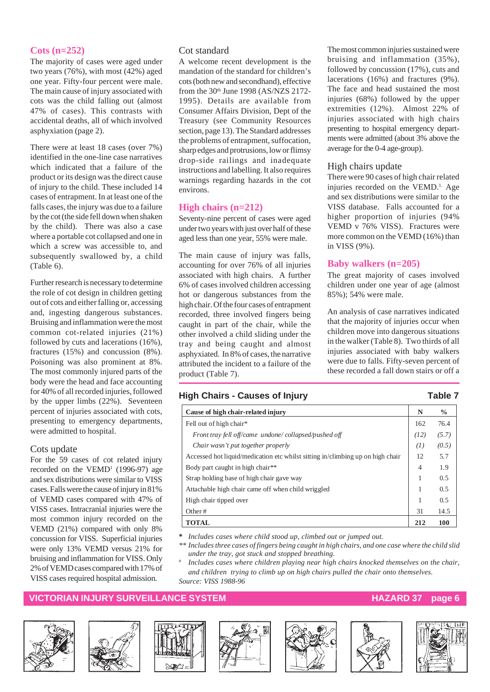#### **Cots (n=252)**

The majority of cases were aged under two years (76%), with most (42%) aged one year. Fifty-four percent were male. The main cause of injury associated with cots was the child falling out (almost 47% of cases). This contrasts with accidental deaths, all of which involved asphyxiation (page 2).

There were at least 18 cases (over 7%) identified in the one-line case narratives which indicated that a failure of the product or its design was the direct cause of injury to the child. These included 14 cases of entrapment. In at least one of the falls cases, the injury was due to a failure by the cot (the side fell down when shaken by the child). There was also a case where a portable cot collapsed and one in which a screw was accessible to, and subsequently swallowed by, a child (Table 6).

Further research is necessary to determine the role of cot design in children getting out of cots and either falling or, accessing and, ingesting dangerous substances. Bruising and inflammation were the most common cot-related injuries (21%) followed by cuts and lacerations (16%), fractures (15%) and concussion (8%). Poisoning was also prominent at 8%. The most commonly injured parts of the body were the head and face accounting for 40% of all recorded injuries, followed by the upper limbs (22%). Seventeen percent of injuries associated with cots, presenting to emergency departments, were admitted to hospital.

#### Cots update

For the 59 cases of cot related injury recorded on the  $VEMD<sup>1</sup>$  (1996-97) age and sex distributions were similar to VISS cases. Falls were the cause of injury in 81% of VEMD cases compared with 47% of VISS cases. Intracranial injuries were the most common injury recorded on the VEMD (21%) compared with only 8% concussion for VISS. Superficial injuries were only 13% VEMD versus 21% for bruising and inflammation for VISS. Only 2% of VEMD cases compared with 17% of VISS cases required hospital admission.

#### Cot standard

A welcome recent development is the mandation of the standard for children's cots (both new and secondhand), effective from the 30th June 1998 (AS/NZS 2172- 1995). Details are available from Consumer Affairs Division, Dept of the Treasury (see Community Resources section, page 13). The Standard addresses the problems of entrapment, suffocation, sharp edges and protrusions, low or flimsy drop-side railings and inadequate instructions and labelling. It also requires warnings regarding hazards in the cot environs.

#### **High chairs (n=212)**

Seventy-nine percent of cases were aged under two years with just over half of these aged less than one year, 55% were male.

The main cause of injury was falls, accounting for over 76% of all injuries associated with high chairs. A further 6% of cases involved children accessing hot or dangerous substances from the high chair. Of the four cases of entrapment recorded, three involved fingers being caught in part of the chair, while the other involved a child sliding under the tray and being caught and almost asphyxiated. In 8% of cases, the narrative attributed the incident to a failure of the product (Table 7).

The most common injuries sustained were bruising and inflammation (35%), followed by concussion (17%), cuts and lacerations (16%) and fractures (9%). The face and head sustained the most injuries (68%) followed by the upper extremities (12%). Almost 22% of injuries associated with high chairs presenting to hospital emergency departments were admitted (about 3% above the average for the 0-4 age-group).

### High chairs update

There were 90 cases of high chair related injuries recorded on the VEMD.<sup>1.</sup> Age and sex distributions were similar to the VISS database. Falls accounted for a higher proportion of injuries (94% VEMD v 76% VISS). Fractures were more common on the VEMD (16%) than in VISS (9%).

### **Baby walkers (n=205)**

The great majority of cases involved children under one year of age (almost 85%); 54% were male.

An analysis of case narratives indicated that the majority of injuries occur when children move into dangerous situations in the walker (Table 8). Two thirds of all injuries associated with baby walkers were due to falls. Fifty-seven percent of these recorded a fall down stairs or off a

#### **High Chairs - Causes of Injury Table 7**

| Cause of high chair-related injury                                             | N              | $\frac{0}{0}$ |
|--------------------------------------------------------------------------------|----------------|---------------|
| Fell out of high chair*                                                        | 162            | 76.4          |
| Front tray fell off/came undone/collapsed/pushed off                           | (12)           | (5.7)         |
| Chair wasn't put together properly                                             | (I)            | (0.5)         |
| Accessed hot liquid/medication etc whilst sitting in/climbing up on high chair | 12             | 5.7           |
| Body part caught in high chair <sup>**</sup>                                   | $\overline{4}$ | 1.9           |
| Strap holding base of high chair gave way                                      | 1              | 0.5           |
| Attachable high chair came off when child wriggled                             | 1              | 0.5           |
| High chair tipped over                                                         | 1              | 0.5           |
| Other#                                                                         | 31             | 14.5          |
| <b>TOTAL</b>                                                                   | 212            | 100           |

**\*** *Includes cases where child stood up, climbed out or jumped out.*

- *\*\* Includes three cases of fingers being caught in high chairs, and one case where the child slid under the tray, got stuck and stopped breathing.*
- *# Includes cases where children playing near high chairs knocked themselves on the chair, and children trying to climb up on high chairs pulled the chair onto themselves. Source: VISS 1988-96*

#### **VICTORIAN INJURY SURVEILLANCE SYSTEM AND RELATION CONTROLLY AND RELATIONS AND RELATIONS AND RELATIONS AND RELA**













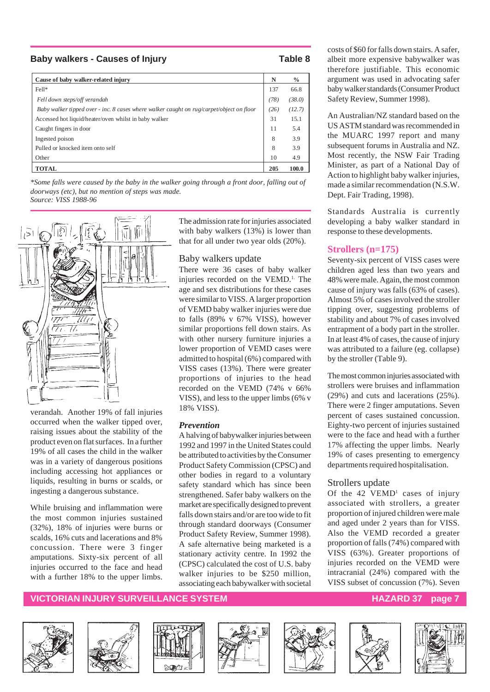#### **Baby walkers - Causes of Injury Table 8**

| Cause of baby walker-related injury                                                      | N    | $\frac{0}{0}$ |
|------------------------------------------------------------------------------------------|------|---------------|
| Fell*                                                                                    | 137  | 66.8          |
| Fell down steps/off verandah                                                             | (78) | (38.0)        |
| Baby walker tipped over - inc. 8 cases where walker caught on rug/carpet/object on floor | (26) | (12.7)        |
| Accessed hot liquid/heater/oven whilst in baby walker                                    | 31   | 15.1          |
| Caught fingers in door                                                                   | 11   | 5.4           |
| Ingested poison                                                                          | 8    | 3.9           |
| Pulled or knocked item onto self                                                         | 8    | 3.9           |
| Other                                                                                    | 10   | 4.9           |
| <b>TOTAL</b>                                                                             | 205  | 100.0         |

*\*Some falls were caused by the baby in the walker going through a front door, falling out of doorways (etc), but no mention of steps was made. Source: VISS 1988-96*



verandah. Another 19% of fall injuries occurred when the walker tipped over, raising issues about the stability of the product even on flat surfaces. In a further 19% of all cases the child in the walker was in a variety of dangerous positions including accessing hot appliances or liquids, resulting in burns or scalds, or ingesting a dangerous substance.

While bruising and inflammation were the most common injuries sustained (32%), 18% of injuries were burns or scalds, 16% cuts and lacerations and 8% concussion. There were 3 finger amputations. Sixty-six percent of all injuries occurred to the face and head with a further 18% to the upper limbs.

The admission rate for injuries associated with baby walkers (13%) is lower than that for all under two year olds (20%).

#### Baby walkers update

There were 36 cases of baby walker injuries recorded on the VEMD.<sup>1.</sup> The age and sex distributions for these cases were similar to VISS. A larger proportion of VEMD baby walker injuries were due to falls (89% v 67% VISS), however similar proportions fell down stairs. As with other nursery furniture injuries a lower proportion of VEMD cases were admitted to hospital (6%) compared with VISS cases (13%). There were greater proportions of injuries to the head recorded on the VEMD (74% v 66% VISS), and less to the upper limbs (6% v 18% VISS).

#### *Prevention*

A halving of babywalker injuries between 1992 and 1997 in the United States could be attributed to activities by the Consumer Product Safety Commission (CPSC) and other bodies in regard to a voluntary safety standard which has since been strengthened. Safer baby walkers on the market are specifically designed to prevent falls down stairs and/or are too wide to fit through standard doorways (Consumer Product Safety Review, Summer 1998). A safe alternative being marketed is a stationary activity centre. In 1992 the (CPSC) calculated the cost of U.S. baby walker injuries to be \$250 million, associating each babywalker with societal

costs of \$60 for falls down stairs. A safer, albeit more expensive babywalker was therefore justifiable. This economic argument was used in advocating safer baby walker standards (Consumer Product Safety Review, Summer 1998).

An Australian/NZ standard based on the US ASTM standard was recommended in the MUARC 1997 report and many subsequent forums in Australia and NZ. Most recently, the NSW Fair Trading Minister, as part of a National Day of Action to highlight baby walker injuries, made a similar recommendation (N.S.W. Dept. Fair Trading, 1998).

Standards Australia is currently developing a baby walker standard in response to these developments.

#### **Strollers (n=175)**

Seventy-six percent of VISS cases were children aged less than two years and 48% were male. Again, the most common cause of injury was falls (63% of cases). Almost 5% of cases involved the stroller tipping over, suggesting problems of stability and about 7% of cases involved entrapment of a body part in the stroller. In at least 4% of cases, the cause of injury was attributed to a failure (eg. collapse) by the stroller (Table 9).

The most common injuries associated with strollers were bruises and inflammation (29%) and cuts and lacerations (25%). There were 2 finger amputations. Seven percent of cases sustained concussion. Eighty-two percent of injuries sustained were to the face and head with a further 17% affecting the upper limbs. Nearly 19% of cases presenting to emergency departments required hospitalisation.

#### Strollers update

Of the  $42$  VEMD<sup>1</sup> cases of injury associated with strollers, a greater proportion of injured children were male and aged under 2 years than for VISS. Also the VEMD recorded a greater proportion of falls (74%) compared with VISS (63%). Greater proportions of injuries recorded on the VEMD were intracranial (24%) compared with the VISS subset of concussion (7%). Seven

#### **VICTORIAN INJURY SURVEILLANCE SYSTEM AND REALLY CONTROLLY AND REALLY ASSESSED AT A PACARD 37 page 7**













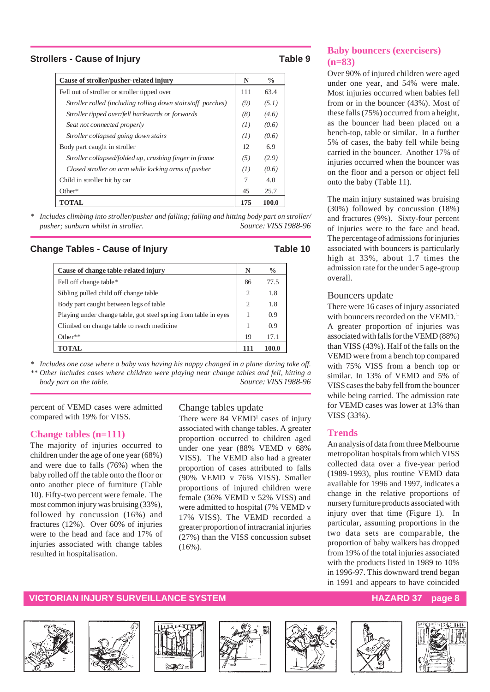#### **Strollers - Cause of Injury Table 9**

| Cause of stroller/pusher-related injury                     | N   | $\frac{0}{0}$ |
|-------------------------------------------------------------|-----|---------------|
| Fell out of stroller or stroller tipped over                | 111 | 63.4          |
| Stroller rolled (including rolling down stairs/off porches) | (9) | (5.1)         |
| Stroller tipped over/fell backwards or forwards             | (8) | (4.6)         |
| Seat not connected properly                                 | (1) | (0.6)         |
| Stroller collapsed going down stairs                        | (1) | (0.6)         |
| Body part caught in stroller                                | 12  | 6.9           |
| Stroller collapsed/folded up, crushing finger in frame      | (5) | (2.9)         |
| Closed stroller on arm while locking arms of pusher         | (I) | (0.6)         |
| Child in stroller hit by car                                | 7   | 4.0           |
| $Other*$                                                    | 45  | 25.7          |
| TOTAL                                                       | 175 | <b>100.0</b>  |

*\* Includes climbing into stroller/pusher and falling; falling and hitting body part on stroller/ pusher; sunburn whilst in stroller. Source: VISS 1988-96*

#### **Change Tables - Cause of Injury Table 10**

| Cause of change table-related injury                            | N              | $\frac{0}{0}$ |
|-----------------------------------------------------------------|----------------|---------------|
| Fell off change table*                                          | 86             | 77.5          |
| Sibling pulled child off change table                           | $\overline{c}$ | 1.8           |
| Body part caught between legs of table                          | $\mathcal{D}$  | 1.8           |
| Playing under change table, got steel spring from table in eyes |                | 0.9           |
| Climbed on change table to reach medicine.                      |                | 0.9           |
| $Other**$                                                       | 19             | 17.1          |
| TOTAL                                                           | 111            | 100.0         |

*\* Includes one case where a baby was having his nappy changed in a plane during take off. \*\* Other includes cases where children were playing near change tables and fell, hitting a body part on the table. Source: VISS 1988-96*

percent of VEMD cases were admitted compared with 19% for VISS.

#### **Change tables (n=111)**

The majority of injuries occurred to children under the age of one year (68%) and were due to falls (76%) when the baby rolled off the table onto the floor or onto another piece of furniture (Table 10). Fifty-two percent were female. The most common injury was bruising (33%), followed by concussion (16%) and fractures (12%). Over 60% of injuries were to the head and face and 17% of injuries associated with change tables resulted in hospitalisation.

#### Change tables update

There were  $84$  VEMD<sup>1</sup> cases of injury associated with change tables. A greater proportion occurred to children aged under one year (88% VEMD v 68% VISS). The VEMD also had a greater proportion of cases attributed to falls (90% VEMD v 76% VISS). Smaller proportions of injured children were female (36% VEMD v 52% VISS) and were admitted to hospital (7% VEMD v 17% VISS). The VEMD recorded a greater proportion of intracranial injuries (27%) than the VISS concussion subset  $(16\%)$ .

#### **Baby bouncers (exercisers) (n=83)**

Over 90% of injured children were aged under one year, and 54% were male. Most injuries occurred when babies fell from or in the bouncer (43%). Most of these falls (75%) occurred from a height, as the bouncer had been placed on a bench-top, table or similar. In a further 5% of cases, the baby fell while being carried in the bouncer. Another 17% of injuries occurred when the bouncer was on the floor and a person or object fell onto the baby (Table 11).

The main injury sustained was bruising (30%) followed by concussion (18%) and fractures (9%). Sixty-four percent of injuries were to the face and head. The percentage of admissions for injuries associated with bouncers is particularly high at 33%, about 1.7 times the admission rate for the under 5 age-group overall.

#### Bouncers update

There were 16 cases of injury associated with bouncers recorded on the VEMD.<sup>1.</sup> A greater proportion of injuries was associated with falls for the VEMD (88%) than VISS (43%). Half of the falls on the VEMD were from a bench top compared with 75% VISS from a bench top or similar. In 13% of VEMD and 5% of VISS cases the baby fell from the bouncer while being carried. The admission rate for VEMD cases was lower at 13% than VISS (33%).

#### **Trends**

An analysis of data from three Melbourne metropolitan hospitals from which VISS collected data over a five-year period (1989-1993), plus routine VEMD data available for 1996 and 1997, indicates a change in the relative proportions of nursery furniture products associated with injury over that time (Figure 1). In particular, assuming proportions in the two data sets are comparable, the proportion of baby walkers has dropped from 19% of the total injuries associated with the products listed in 1989 to 10% in 1996-97. This downward trend began in 1991 and appears to have coincided

#### **VICTORIAN INJURY SURVEILLANCE SYSTEM AND REALLY CONTROLLY ASSESSED AT A PART OF STATE STATES AND REALLY FOUND**













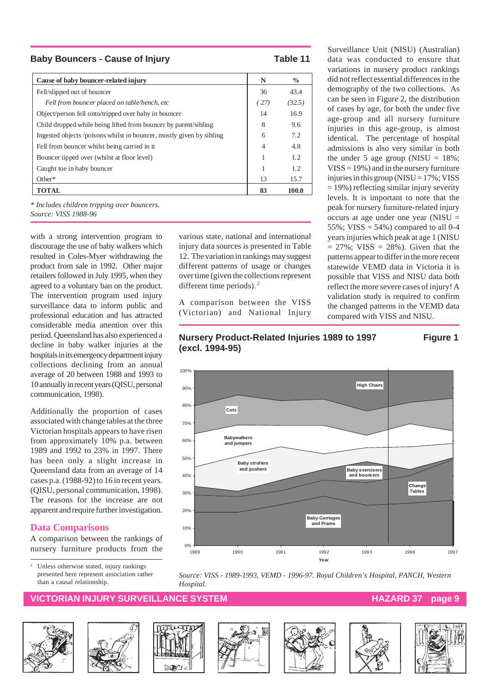**Baby Bouncers - Cause of Injury Table 11** 

| Cause of baby bouncer-related injury                                | N              | $\frac{0}{0}$ |
|---------------------------------------------------------------------|----------------|---------------|
| Fell/slipped out of bouncer                                         | 36             | 43.4          |
| Fell from bouncer placed on table/bench, etc                        | (27)           | (32.5)        |
| Object/person fell onto/tripped over baby in bouncer                | 14             | 16.9          |
| Child dropped while being lifted from bouncer by parent/sibling     | 8              | 9.6           |
| Ingested objects/poisons whilst in bouncer, mostly given by sibling | 6              | 7.2           |
| Fell from bouncer whilst being carried in it.                       | $\overline{4}$ | 4.8           |
| Bouncer tipped over (whilst at floor level)                         | 1              | 1.2           |
| Caught toe in baby bouncer                                          | 1              | 1.2           |
| $Other*$                                                            | 13             | 15.7          |
| <b>TOTAL</b>                                                        | 83             | 100.0         |

*\* Includes children tripping over bouncers. Source: VISS 1988-96*

with a strong intervention program to discourage the use of baby walkers which resulted in Coles-Myer withdrawing the product from sale in 1992. Other major retailers followed in July 1995, when they agreed to a voluntary ban on the product. The intervention program used injury surveillance data to inform public and professional education and has attracted considerable media attention over this period. Queensland has also experienced a decline in baby walker injuries at the hospitals in its emergency department injury collections declining from an annual average of 20 between 1988 and 1993 to 10 annually in recent years (QISU, personal communication, 1998).

Additionally the proportion of cases associated with change tables at the three Victorian hospitals appears to have risen from approximately 10% p.a. between 1989 and 1992 to 23% in 1997. There has been only a slight increase in Queensland data from an average of 14 cases p.a. (1988-92) to 16 in recent years. (QISU, personal communication, 1998). The reasons for the increase are not apparent and require further investigation.

#### **Data Comparisons**

A comparison between the rankings of nursery furniture products from the

<sup>2</sup> Unless otherwise stated, injury rankings presented here represent association rather than a causal relationship.

#### **WICTORIAN INJURY SURVEILLANCE SYSTEM AND REACT AND REACT THE HAZARD 37 page**















Surveillance Unit (NISU) (Australian) data was conducted to ensure that variations in nursery product rankings did not reflect essential differences in the demography of the two collections. As can be seen in Figure 2, the distribution of cases by age, for both the under five age-group and all nursery furniture injuries in this age-group, is almost identical. The percentage of hospital admissions is also very similar in both the under 5 age group (NISU =  $18\%$ ;  $VISS = 19\%$ ) and in the nursery furniture injuries in this group ( $NISU = 17\%$ ; VISS  $= 19\%$ ) reflecting similar injury severity levels. It is important to note that the peak for nursery furniture-related injury occurs at age under one year (NISU = 55%; VISS =  $54\%$ ) compared to all 0-4 years injuries which peak at age 1 (NISU  $= 27\%$ ; VISS  $= 28\%$ ). Given that the patterns appear to differ in the more recent statewide VEMD data in Victoria it is possible that VISS and NISU data both reflect the more severe cases of injury! A validation study is required to confirm the changed patterns in the VEMD data compared with VISS and NISU.

#### **Nursery Product-Related Injuries 1989 to 1997 Figure 1 (excl. 1994-95)**

various state, national and international injury data sources is presented in Table 12. The variation in rankings may suggest different patterns of usage or changes over time (given the collections represent

A comparison between the VISS (Victorian) and National Injury

different time periods). 2



*Source: VISS - 1989-1993, VEMD - 1996-97. Royal Children's Hospital, PANCH, Western Hospital.*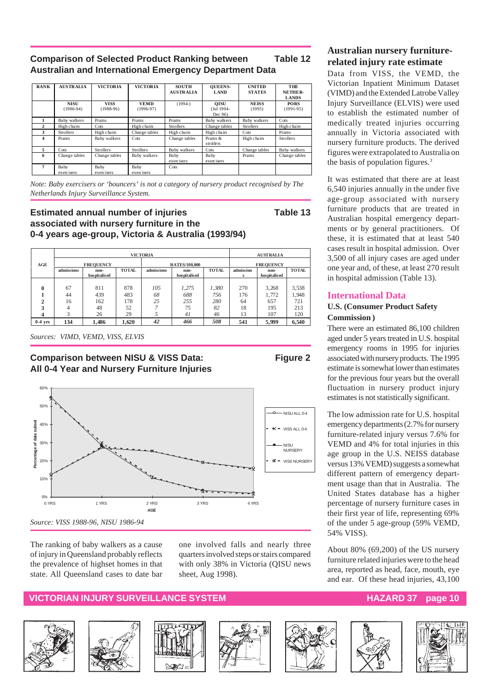#### **Comparison of Selected Product Ranking between Table 12 Australian and International Emergency Department Data**

| <b>RANK</b>             | <b>AUSTRALIA</b>           | <b>VICTORIA</b>            | <b>VICTORIA</b>            | <b>SOUTH</b><br><b>AUSTRALIA</b> | <b>OUEENS-</b><br>LAND               | <b>UNITED</b><br><b>STATES</b> | THE<br>NETHER-<br><b>LANDS</b> |
|-------------------------|----------------------------|----------------------------|----------------------------|----------------------------------|--------------------------------------|--------------------------------|--------------------------------|
|                         | <b>NISU</b><br>$(1986-94)$ | <b>VISS</b><br>$(1988-96)$ | <b>VEMD</b><br>$(1996-97)$ | $(1994-)$                        | <b>OISU</b><br>(Jul 1994-<br>Dec 96) | <b>NEISS</b><br>(1995)         | <b>PORS</b><br>$(1991-95)$     |
|                         | Baby walkers               | Prams                      | Prams                      | Prams                            | Baby walkers                         | Baby walkers                   | Cots                           |
| $\mathbf{2}$            | High chairs                | Cots                       | High chairs                | <b>Strollers</b>                 | Change tables                        | <b>Strollers</b>               | High chairs                    |
| 3                       | <b>Strollers</b>           | High chairs                | Change tables              | High chairs                      | High chairs                          | Cots                           | Prams                          |
| $\overline{\mathbf{4}}$ | Prams                      | Baby walkers               | Cots                       | Change tables                    | Prams &<br>strollers                 | High chairs                    | <b>Strollers</b>               |
| 5                       | Cots                       | <b>Strollers</b>           | <b>Strollers</b>           | Baby walkers                     | Cots                                 | Change tables                  | Baby walkers                   |
| 6                       | Change tables              | Change tables              | Baby walkers               | Baby<br>exercisers               | Baby<br>exercisers                   | Prams                          | Change tables                  |
| 7                       | Baby<br>exercisers         | Baby<br>exercisers         | Baby<br>exercisers         | Cots                             |                                      |                                |                                |

*Note: Baby exercisers or 'bouncers' is not a category of nursery product recognised by The Netherlands Injury Surveillance System.*

#### **Estimated annual number of injuries Table 13 associated with nursery furniture in the 0-4 years age-group, Victoria & Australia (1993/94)**

|              |                  |                      |              |            | <b>AUSTRALIA</b>     |              |                  |                      |              |  |
|--------------|------------------|----------------------|--------------|------------|----------------------|--------------|------------------|----------------------|--------------|--|
| AGE          | <b>FREOUENCY</b> |                      |              |            | <b>RATES/100,000</b> |              | <b>FREOUENCY</b> |                      |              |  |
|              | admissions       | non-<br>hospitalised | <b>TOTAL</b> | admissions | non-<br>hospitalised | <b>TOTAL</b> | admission<br>s   | non-<br>hospitalised | <b>TOTAL</b> |  |
|              |                  |                      |              |            |                      |              |                  |                      |              |  |
| $\mathbf{0}$ | 67               | 811                  | 878          | 105        | 1.275                | 1,380        | 270              | 3,268                | 3,538        |  |
|              | 44               | 439                  | 483          | 68         | 688                  | 756          | 176              | 1.772                | 1.948        |  |
|              | 16               | 162                  | 178          | 25         | 255                  | 280          | 64               | 657                  | 721          |  |
|              | 4                | 48                   | 52           |            | 75                   | 82           | 18               | 195                  | 213          |  |
|              |                  | 26                   | 29           |            | 41                   | 46           | 13               | 107                  | 120          |  |
| $0-4$ yrs    | 134              | 1.486                | 1.620        | 42         | 466                  | 508          | 541              | 5,999                | 6.540        |  |

*Sources: VIMD, VEMD, VISS, ELVIS*

#### **Comparison between NISU & VISS Data: Figure 2 All 0-4 Year and Nursery Furniture Injuries**



The ranking of baby walkers as a cause of injury in Queensland probably reflects the prevalence of highset homes in that state. All Queensland cases to date bar one involved falls and nearly three quarters involved steps or stairs compared with only 38% in Victoria (QISU news sheet, Aug 1998).

#### **VICTORIAN INJURY SURVEILLANCE SYSTEM AND REALLY CONTROLLY AND REALLY ASSESSED AT A PARTICLE IN**















#### **Australian nursery furniturerelated injury rate estimate**

Data from VISS, the VEMD, the Victorian Inpatient Minimum Dataset (VIMD) and the Extended Latrobe Valley Injury Surveillance (ELVIS) were used to establish the estimated number of medically treated injuries occurring annually in Victoria associated with nursery furniture products. The derived figures were extrapolated to Australia on the basis of population figures.3

It was estimated that there are at least 6,540 injuries annually in the under five age-group associated with nursery furniture products that are treated in Australian hospital emergency departments or by general practitioners. Of these, it is estimated that at least 540 cases result in hospital admission. Over 3,500 of all injury cases are aged under one year and, of these, at least 270 result in hospital admission (Table 13).

#### **International Data**

#### **U.S. (Consumer Product Safety Commission )**

There were an estimated 86,100 children aged under 5 years treated in U.S. hospital emergency rooms in 1995 for injuries associated with nursery products. The 1995 estimate is somewhat lower than estimates for the previous four years but the overall fluctuation in nursery product injury estimates is not statistically significant.

The low admission rate for U.S. hospital emergency departments (2.7% for nursery furniture-related injury versus 7.6% for VEMD and 4% for total injuries in this age group in the U.S. NEISS database versus 13% VEMD) suggests a somewhat different pattern of emergency department usage than that in Australia. The United States database has a higher percentage of nursery furniture cases in their first year of life, representing 69% of the under 5 age-group (59% VEMD, 54% VISS).

About 80% (69,200) of the US nursery furniture related injuries were to the head area, reported as head, face, mouth, eye and ear. Of these head injuries, 43,100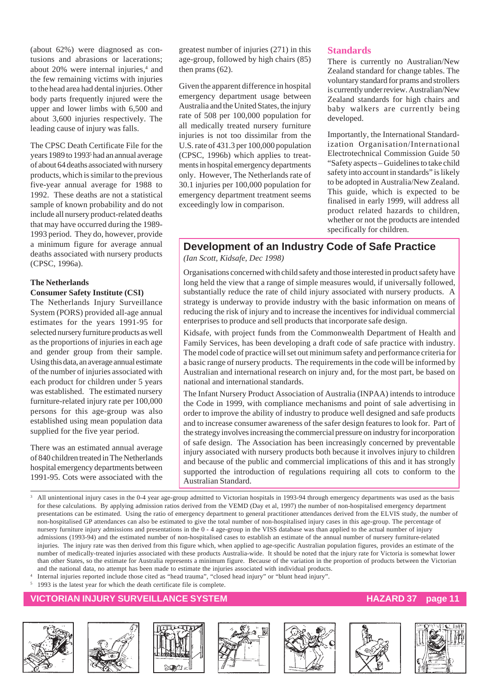(about 62%) were diagnosed as contusions and abrasions or lacerations; about 20% were internal injuries,<sup>4</sup> and the few remaining victims with injuries to the head area had dental injuries. Other body parts frequently injured were the upper and lower limbs with 6,500 and about 3,600 injuries respectively. The leading cause of injury was falls.

The CPSC Death Certificate File for the years 1989 to 19935 had an annual average of about 64 deaths associated with nursery products, which is similar to the previous five-year annual average for 1988 to 1992. These deaths are not a statistical sample of known probability and do not include all nursery product-related deaths that may have occurred during the 1989- 1993 period. They do, however, provide a minimum figure for average annual deaths associated with nursery products (CPSC, 1996a).

#### **The Netherlands**

#### **Consumer Safety Institute (CSI)**

The Netherlands Injury Surveillance System (PORS) provided all-age annual estimates for the years 1991-95 for selected nursery furniture products as well as the proportions of injuries in each age and gender group from their sample. Using this data, an average annual estimate of the number of injuries associated with each product for children under 5 years was established. The estimated nursery furniture-related injury rate per 100,000 persons for this age-group was also established using mean population data supplied for the five year period.

There was an estimated annual average of 840 children treated in The Netherlands hospital emergency departments between 1991-95. Cots were associated with the

greatest number of injuries (271) in this age-group, followed by high chairs (85) then prams (62).

Given the apparent difference in hospital emergency department usage between Australia and the United States, the injury rate of 508 per 100,000 population for all medically treated nursery furniture injuries is not too dissimilar from the U.S. rate of 431.3 per 100,000 population (CPSC, 1996b) which applies to treatments in hospital emergency departments only. However, The Netherlands rate of 30.1 injuries per 100,000 population for emergency department treatment seems exceedingly low in comparison.

#### **Standards**

There is currently no Australian/New Zealand standard for change tables. The voluntary standard for prams and strollers is currently under review. Australian/New Zealand standards for high chairs and baby walkers are currently being developed.

Importantly, the International Standardization Organisation/International Electrotechnical Commission Guide 50 "Safety aspects – Guidelines to take child safety into account in standards" is likely to be adopted in Australia/New Zealand. This guide, which is expected to be finalised in early 1999, will address all product related hazards to children, whether or not the products are intended specifically for children.

### **Development of an Industry Code of Safe Practice**

*(Ian Scott, Kidsafe, Dec 1998)*

Organisations concerned with child safety and those interested in product safety have long held the view that a range of simple measures would, if universally followed, substantially reduce the rate of child injury associated with nursery products. A strategy is underway to provide industry with the basic information on means of reducing the risk of injury and to increase the incentives for individual commercial enterprises to produce and sell products that incorporate safe design.

Kidsafe, with project funds from the Commonwealth Department of Health and Family Services, has been developing a draft code of safe practice with industry. The model code of practice will set out minimum safety and performance criteria for a basic range of nursery products. The requirements in the code will be informed by Australian and international research on injury and, for the most part, be based on national and international standards.

The Infant Nursery Product Association of Australia (INPAA) intends to introduce the Code in 1999, with compliance mechanisms and point of sale advertising in order to improve the ability of industry to produce well designed and safe products and to increase consumer awareness of the safer design features to look for. Part of the strategy involves increasing the commercial pressure on industry for incorporation of safe design. The Association has been increasingly concerned by preventable injury associated with nursery products both because it involves injury to children and because of the public and commercial implications of this and it has strongly supported the introduction of regulations requiring all cots to conform to the Australian Standard.

<sup>3</sup> All unintentional injury cases in the 0-4 year age-group admitted to Victorian hospitals in 1993-94 through emergency departments was used as the basis for these calculations. By applying admission ratios derived from the VEMD (Day et al, 1997) the number of non-hospitalised emergency department presentations can be estimated. Using the ratio of emergency department to general practitioner attendances derived from the ELVIS study, the number of non-hospitalised GP attendances can also be estimated to give the total number of non-hospitalised injury cases in this age-group. The percentage of nursery furniture injury admissions and presentations in the 0 - 4 age-group in the VISS database was than applied to the actual number of injury admissions (1993-94) and the estimated number of non-hospitalised cases to establish an estimate of the annual number of nursery furniture-related injuries. The injury rate was then derived from this figure which, when applied to age-specific Australian population figures, provides an estimate of the number of medically-treated injuries associated with these products Australia-wide. It should be noted that the injury rate for Victoria is somewhat lower than other States, so the estimate for Australia represents a minimum figure. Because of the variation in the proportion of products between the Victorian and the national data, no attempt has been made to estimate the injuries associated with individual products.

Internal injuries reported include those cited as "head trauma", "closed head injury" or "blunt head injury".

<sup>5</sup> 1993 is the latest year for which the death certificate file is complete.

#### **VICTORIAN INJURY SURVEILLANCE SYSTEM HAZARD 37 page 11**













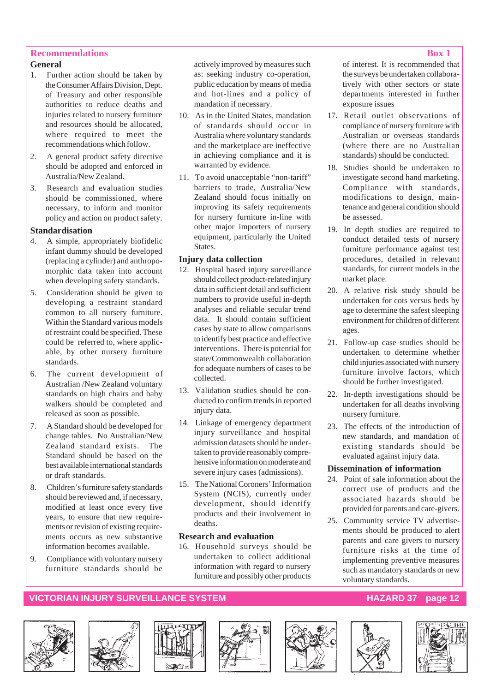#### **Recommendations Box 1**

#### **General**

- 1. Further action should be taken by the Consumer Affairs Division, Dept. of Treasury and other responsible authorities to reduce deaths and injuries related to nursery furniture and resources should be allocated, where required to meet the recommendations which follow.
- 2. A general product safety directive should be adopted and enforced in Australia/New Zealand.
- 3. Research and evaluation studies should be commissioned, where necessary, to inform and monitor policy and action on product safety.

#### **Standardisation**

- 4. A simple, appropriately biofidelic infant dummy should be developed (replacing a cylinder) and anthropomorphic data taken into account when developing safety standards.
- 5. Consideration should be given to developing a restraint standard common to all nursery furniture. Within the Standard various models of restraint could be specified. These could be referred to, where applicable, by other nursery furniture standards.
- 6. The current development of Australian /New Zealand voluntary standards on high chairs and baby walkers should be completed and released as soon as possible.
- 7. A Standard should be developed for change tables. No Australian/New Zealand standard exists. The Standard should be based on the best available international standards or draft standards.
- 8. Children's furniture safety standards should be reviewed and, if necessary, modified at least once every five years, to ensure that new requirements or revision of existing requirements occurs as new substantive information becomes available.
- 9. Compliance with voluntary nursery furniture standards should be

actively improved by measures such as: seeking industry co-operation, public education by means of media and hot-lines and a policy of mandation if necessary.

- 10. As in the United States, mandation of standards should occur in Australia where voluntary standards and the marketplace are ineffective in achieving compliance and it is warranted by evidence.
- 11. To avoid unacceptable "non-tariff" barriers to trade, Australia/New Zealand should focus initially on improving its safety requirements for nursery furniture in-line with other major importers of nursery equipment, particularly the United States.

#### **Injury data collection**

- 12. Hospital based injury surveillance should collect product-related injury data in sufficient detail and sufficient numbers to provide useful in-depth analyses and reliable secular trend data. It should contain sufficient cases by state to allow comparisons to identify best practice and effective interventions. There is potential for state/Commonwealth collaboration for adequate numbers of cases to be collected.
- 13. Validation studies should be conducted to confirm trends in reported injury data.
- 14. Linkage of emergency department injury surveillance and hospital admission datasets should be undertaken to provide reasonably comprehensive information on moderate and severe injury cases (admissions).
- 15. The National Coroners' Information System (NCIS), currently under development, should identify products and their involvement in deaths.

#### **Research and evaluation**

16. Household surveys should be undertaken to collect additional information with regard to nursery furniture and possibly other products

of interest. It is recommended that the surveys be undertaken collaboratively with other sectors or state departments interested in further exposure issues

- 17. Retail outlet observations of compliance of nursery furniture with Australian or overseas standards (where there are no Australian standards) should be conducted.
- 18. Studies should be undertaken to investigate second hand marketing. Compliance with standards, modifications to design, maintenance and general condition should be assessed.
- 19. In depth studies are required to conduct detailed tests of nursery furniture performance against test procedures, detailed in relevant standards, for current models in the market place.
- 20. A relative risk study should be undertaken for cots versus beds by age to determine the safest sleeping environment for children of different ages.
- 21. Follow-up case studies should be undertaken to determine whether child injuries associated with nursery furniture involve factors, which should be further investigated.
- 22. In-depth investigations should be undertaken for all deaths involving nursery furniture.
- 23. The effects of the introduction of new standards, and mandation of existing standards should be evaluated against injury data.

#### **Dissemination of information**

- 24. Point of sale information about the correct use of products and the associated hazards should be provided for parents and care-givers.
- 25. Community service TV advertisements should be produced to alert parents and care givers to nursery furniture risks at the time of implementing preventive measures such as mandatory standards or new voluntary standards.

#### **VICTORIAN INJURY SURVEILLANCE SYSTEM AND REALLY CONSUMING THE HAZARD 37 page 12**













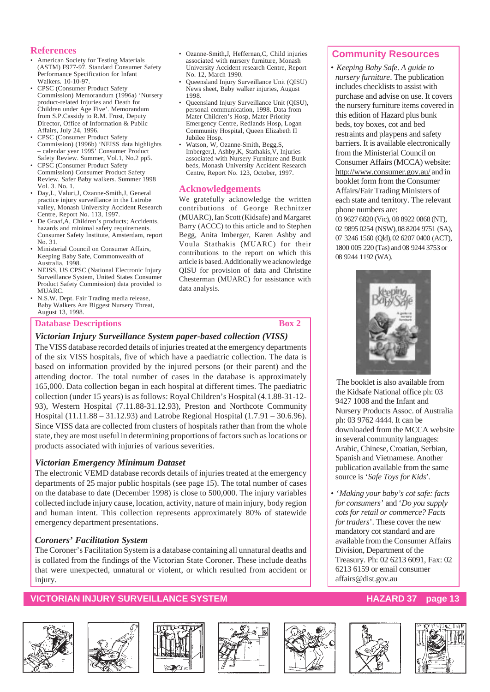#### **References**

- American Society for Testing Materials (ASTM) F977-97. Standard Consumer Safety Performance Specification for Infant Walkers. 10-10-97.
- CPSC (Consumer Product Safety Commission) Memorandum (1996a) 'Nursery product-related Injuries and Death for Children under Age Five'. Memorandum from S.P.Cassidy to R.M. Frost, Deputy Director, Office of Information & Public Affairs, July 24, 1996.
- CPSC (Consumer Product Safety Commission) (1996b) 'NEISS data highlights – calendar year 1995' Consumer Product Safety Review. Summer, Vol.1, No.2 pp5.
- CPSC (Consumer Product Safety Commission) Consumer Product Safety Review. Safer Baby walkers. Summer 1998 Vol. 3. No. 1.
- Day,L, Valuri,J, Ozanne-Smith,J, General practice injury surveillance in the Latrobe valley, Monash University Accident Research Centre, Report No. 113, 1997.
- De Graaf, A, Children's products; Accidents, hazards and minimal safety requirements. Consumer Safety Institute, Amsterdam, report No. 31.
- Ministerial Council on Consumer Affairs, Keeping Baby Safe, Commonwealth of Australia, 1998.
- NEISS, US CPSC (National Electronic Injury Surveillance System, United States Consumer Product Safety Commission) data provided to MUARC.
- N.S.W. Dept. Fair Trading media release, Baby Walkers Are Biggest Nursery Threat, August 13, 1998.

#### **Database Descriptions** Box 2

- Ozanne-Smith,J, Heffernan,C, Child injuries associated with nursery furniture, Monash University Accident research Centre, Report No. 12, March 1990.
- Queensland Injury Surveillance Unit (QISU) News sheet, Baby walker injuries, August 1998.
- Queensland Injury Surveillance Unit (QISU), personal communication, 1998. Data from Mater Children's Hosp, Mater Priority Emergency Centre, Redlands Hosp, Logan Community Hospital, Queen Elizabeth II Jubilee Hosp.
- Watson, W, Ozanne-Smith, Begg,S, Imberger,I, Ashby,K, Stathakis,V, Injuries associated with Nursery Furniture and Bunk beds, Monash University Accident Research Centre, Report No. 123, October, 1997.

#### **Acknowledgements**

We gratefully acknowledge the written contributions of George Rechnitzer (MUARC), Ian Scott (Kidsafe) and Margaret Barry (ACCC) to this article and to Stephen Begg, Anita Imberger, Karen Ashby and Voula Stathakis (MUARC) for their contributions to the report on which this article is based. Additionally we acknowledge QISU for provision of data and Christine Chesterman (MUARC) for assistance with data analysis.

### *Victorian Injury Surveillance System paper-based collection (VISS)*

The VISS database recorded details of injuries treated at the emergency departments of the six VISS hospitals, five of which have a paediatric collection. The data is based on information provided by the injured persons (or their parent) and the attending doctor. The total number of cases in the database is approximately 165,000. Data collection began in each hospital at different times. The paediatric collection (under 15 years) is as follows: Royal Children's Hospital (4.1.88-31-12- 93), Western Hospital (7.11.88-31.12.93), Preston and Northcote Community Hospital (11.11.88 – 31.12.93) and Latrobe Regional Hospital (1.7.91 – 30.6.96). Since VISS data are collected from clusters of hospitals rather than from the whole state, they are most useful in determining proportions of factors such as locations or products associated with injuries of various severities.

#### *Victorian Emergency Minimum Dataset*

The electronic VEMD database records details of injuries treated at the emergency departments of 25 major public hospitals (see page 15). The total number of cases on the database to date (December 1998) is close to 500,000. The injury variables collected include injury cause, location, activity, nature of main injury, body region and human intent. This collection represents approximately 80% of statewide emergency department presentations.

#### *Coroners' Facilitation System*

The Coroner's Facilitation System is a database containing all unnatural deaths and is collated from the findings of the Victorian State Coroner. These include deaths that were unexpected, unnatural or violent, or which resulted from accident or injury.

### **VICTORIAN INJURY SURVEILLANCE SYSTEM HAZARD 37 page 13**













### **Community Resources**

• *Keeping Baby Safe*. *A guide to nursery furniture*. The publication includes checklists to assist with purchase and advise on use. It covers the nursery furniture items covered in this edition of Hazard plus bunk beds, toy boxes, cot and bed restraints and playpens and safety barriers. It is available electronically from the Ministerial Council on Consumer Affairs (MCCA) website: http://www.consumer.gov.au/ and in booklet form from the Consumer Affairs/Fair Trading Ministers of each state and territory. The relevant phone numbers are:

03 9627 6820 (Vic), 08 8922 0868 (NT), 02 9895 0254 (NSW), 08 8204 9751 (SA), 07 3246 1560 (Qld), 02 6207 0400 (ACT), 1800 005 220 (Tas) and 08 9244 3753 or 08 9244 1192 (WA).



The booklet is also available from the Kidsafe National office ph: 03 9427 1008 and the Infant and Nursery Products Assoc. of Australia ph: 03 9762 4444. It can be downloaded from the MCCA website in several community languages: Arabic, Chinese, Croatian, Serbian, Spanish and Vietnamese. Another publication available from the same source is '*Safe Toys for Kids*'.

• '*Making your baby's cot safe: facts for consumers*' and '*Do you supply cots for retail or commerce? Facts for traders*'. These cover the new mandatory cot standard and are available from the Consumer Affairs Division, Department of the Treasury. Ph: 02 6213 6091, Fax: 02 6213 6159 or email consumer affairs@dist.gov.au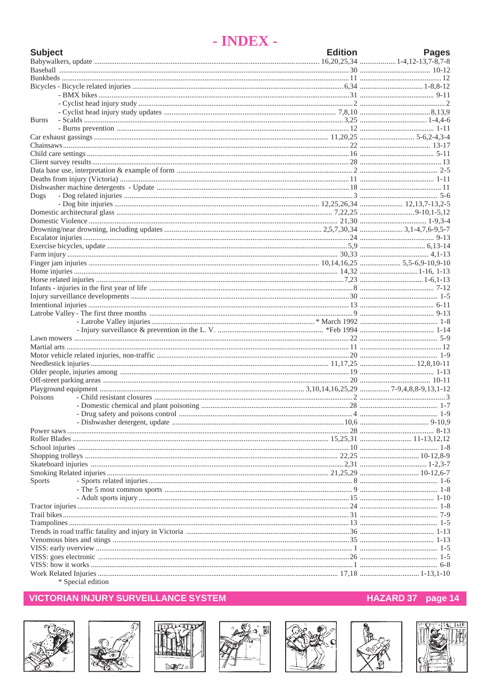## - INDEX -

| <b>Burns</b><br>Dogs<br>Poisons<br><b>Sports</b><br>$\&$ Consider $\&$ | <b>Subject</b> | <b>Edition</b> | <b>Pages</b> |
|------------------------------------------------------------------------|----------------|----------------|--------------|
|                                                                        |                |                |              |
|                                                                        |                |                |              |
|                                                                        |                |                |              |
|                                                                        |                |                |              |
|                                                                        |                |                |              |
|                                                                        |                |                |              |
|                                                                        |                |                |              |
|                                                                        |                |                |              |
|                                                                        |                |                |              |
|                                                                        |                |                |              |
|                                                                        |                |                |              |
|                                                                        |                |                |              |
|                                                                        |                |                |              |
|                                                                        |                |                |              |
|                                                                        |                |                |              |
|                                                                        |                |                |              |
|                                                                        |                |                |              |
|                                                                        |                |                |              |
|                                                                        |                |                |              |
|                                                                        |                |                |              |
|                                                                        |                |                |              |
|                                                                        |                |                |              |
|                                                                        |                |                |              |
|                                                                        |                |                |              |
|                                                                        |                |                |              |
|                                                                        |                |                |              |
|                                                                        |                |                |              |
|                                                                        |                |                |              |
|                                                                        |                |                |              |
|                                                                        |                |                |              |
|                                                                        |                |                |              |
|                                                                        |                |                |              |
|                                                                        |                |                |              |
|                                                                        |                |                |              |
|                                                                        |                |                |              |
|                                                                        |                |                |              |
|                                                                        |                |                |              |
|                                                                        |                |                |              |
|                                                                        |                |                |              |
|                                                                        |                |                |              |
|                                                                        |                |                |              |
|                                                                        |                |                |              |
|                                                                        |                |                |              |
|                                                                        |                |                |              |
|                                                                        |                |                |              |
|                                                                        |                |                |              |
|                                                                        |                |                |              |
|                                                                        |                |                |              |
|                                                                        |                |                |              |
|                                                                        |                |                |              |
|                                                                        |                |                |              |
|                                                                        |                |                |              |
|                                                                        |                |                |              |
|                                                                        |                |                |              |
|                                                                        |                |                |              |
|                                                                        |                |                |              |
|                                                                        |                |                |              |
|                                                                        |                |                |              |
|                                                                        |                |                |              |
|                                                                        |                |                |              |
|                                                                        |                |                |              |
|                                                                        |                |                |              |
|                                                                        |                |                |              |
|                                                                        |                |                |              |

<sup>s</sup> Special edition

### **VICTORIAN INJURY SURVEILLANCE SYSTEM**















### HAZARD 37 page 14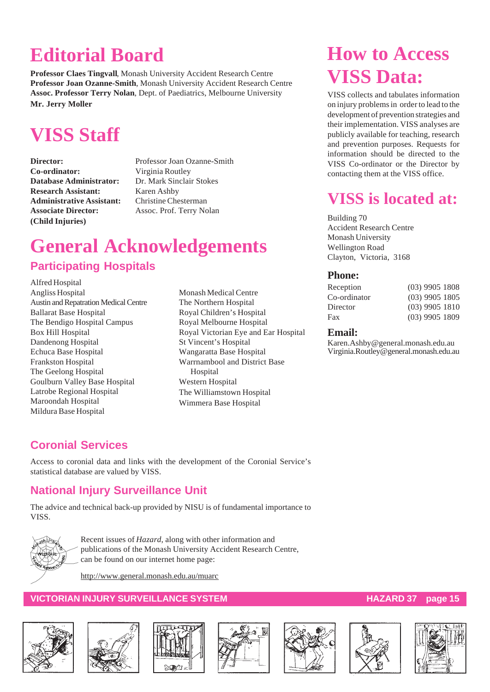## **Editorial Board**

**Professor Claes Tingvall**, Monash University Accident Research Centre **Professor Joan Ozanne-Smith**, Monash University Accident Research Centre **Assoc. Professor Terry Nolan**, Dept. of Paediatrics, Melbourne University **Mr. Jerry Moller**

## **VISS Staff**

**Co-ordinator:** Virginia Routley **Database Administrator:** Dr. Mark Sinclair Stokes **Research Assistant:** Karen Ashby **Administrative Assistant:** Christine Chesterman **Associate Director:** Assoc. Prof. Terry Nolan **(Child Injuries)**

**Director:** Professor Joan Ozanne-Smith

## **General Acknowledgements Participating Hospitals**

Alfred Hospital Angliss Hospital Austin and Repatration Medical Centre Ballarat Base Hospital The Bendigo Hospital Campus Box Hill Hospital Dandenong Hospital Echuca Base Hospital Frankston Hospital The Geelong Hospital Goulburn Valley Base Hospital Latrobe Regional Hospital Maroondah Hospital Mildura Base Hospital

Monash Medical Centre The Northern Hospital Royal Children's Hospital Royal Melbourne Hospital Royal Victorian Eye and Ear Hospital St Vincent's Hospital Wangaratta Base Hospital Warrnambool and District Base **Hospital** Western Hospital The Williamstown Hospital Wimmera Base Hospital

## **How to Access VISS Data:**

VISS collects and tabulates information on injury problems in order to lead to the development of prevention strategies and their implementation. VISS analyses are publicly available for teaching, research and prevention purposes. Requests for information should be directed to the VISS Co-ordinator or the Director by contacting them at the VISS office.

## **VISS is located at:**

Building 70 Accident Research Centre Monash University Wellington Road Clayton, Victoria, 3168

### **Phone:**

| Reception    | $(03)$ 9905 1808 |  |
|--------------|------------------|--|
| Co-ordinator | $(03)$ 9905 1805 |  |
| Director     | $(03)$ 9905 1810 |  |
| Fax          | $(03)$ 9905 1809 |  |
|              |                  |  |

#### **Email:**

Karen.Ashby@general.monash.edu.au Virginia.Routley@general.monash.edu.au

### **Coronial Services**

Access to coronial data and links with the development of the Coronial Service's statistical database are valued by VISS.

### **National Injury Surveillance Unit**

The advice and technical back-up provided by NISU is of fundamental importance to VISS.



Recent issues of *Hazard*, along with other information and publications of the Monash University Accident Research Centre, can be found on our internet home page:

http://www.general.monash.edu.au/muarc

### **VICTORIAN INJURY SURVEILLANCE SYSTEM AND REALLY CONSUMING THE REAL PROPERTY OF STATE STATES AND REAL PROPERTY**